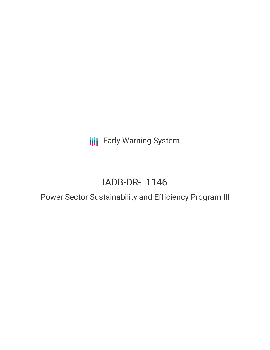**III** Early Warning System

# IADB-DR-L1146

## Power Sector Sustainability and Efficiency Program III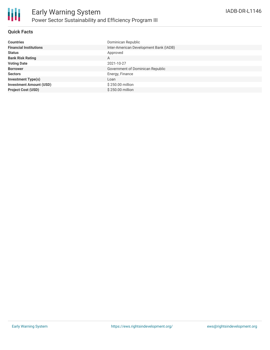

### **Quick Facts**

| <b>Countries</b>               | Dominican Republic                     |
|--------------------------------|----------------------------------------|
| <b>Financial Institutions</b>  | Inter-American Development Bank (IADB) |
| <b>Status</b>                  | Approved                               |
| <b>Bank Risk Rating</b>        | A                                      |
| <b>Voting Date</b>             | 2021-10-27                             |
| <b>Borrower</b>                | Government of Dominican Republic       |
| <b>Sectors</b>                 | Energy, Finance                        |
| <b>Investment Type(s)</b>      | Loan                                   |
| <b>Investment Amount (USD)</b> | \$250.00 million                       |
| <b>Project Cost (USD)</b>      | \$250.00 million                       |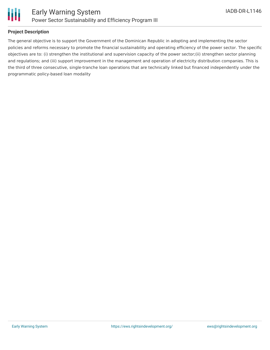

### **Project Description**

The general objective is to support the Government of the Dominican Republic in adopting and implementing the sector policies and reforms necessary to promote the financial sustainability and operating efficiency of the power sector. The specific objectives are to: (i) strengthen the institutional and supervision capacity of the power sector;(ii) strengthen sector planning and regulations; and (iii) support improvement in the management and operation of electricity distribution companies. This is the third of three consecutive, single-tranche loan operations that are technically linked but financed independently under the programmatic policy-based loan modality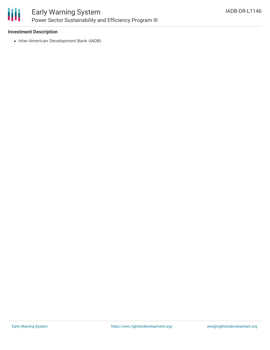

### Early Warning System Power Sector Sustainability and Efficiency Program III

### **Investment Description**

• Inter-American Development Bank (IADB)